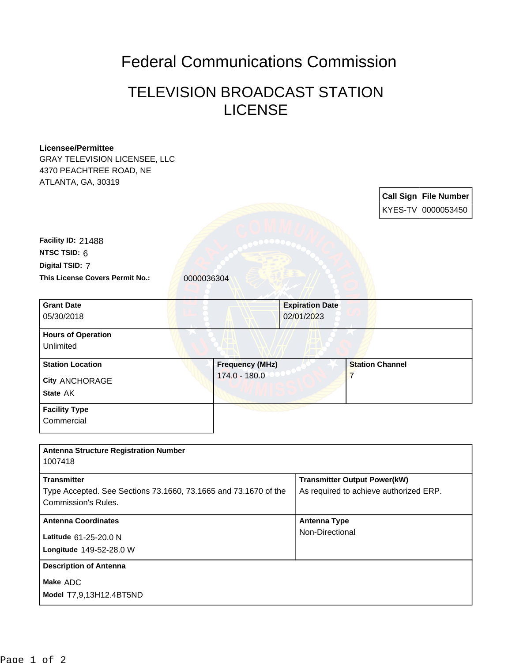## Federal Communications Commission

## TELEVISION BROADCAST STATION LICENSE

| <b>Licensee/Permittee</b>                                       |                        |                        |                                        |  |
|-----------------------------------------------------------------|------------------------|------------------------|----------------------------------------|--|
| <b>GRAY TELEVISION LICENSEE, LLC</b>                            |                        |                        |                                        |  |
| 4370 PEACHTREE ROAD, NE                                         |                        |                        |                                        |  |
| ATLANTA, GA, 30319                                              |                        |                        |                                        |  |
|                                                                 |                        |                        | <b>Call Sign File Number</b>           |  |
|                                                                 |                        |                        | KYES-TV 0000053450                     |  |
|                                                                 |                        |                        |                                        |  |
|                                                                 |                        |                        |                                        |  |
| Facility ID: 21488                                              |                        |                        |                                        |  |
| NTSC TSID: 6                                                    |                        |                        |                                        |  |
| Digital TSID: 7                                                 |                        |                        |                                        |  |
| This License Covers Permit No.:                                 | 0000036304             |                        |                                        |  |
| <b>Grant Date</b>                                               |                        | <b>Expiration Date</b> |                                        |  |
| 05/30/2018                                                      |                        | 02/01/2023             |                                        |  |
| <b>Hours of Operation</b>                                       |                        |                        |                                        |  |
| Unlimited                                                       |                        |                        |                                        |  |
| <b>Station Location</b>                                         | <b>Frequency (MHz)</b> |                        | <b>Station Channel</b>                 |  |
| <b>City ANCHORAGE</b>                                           | 174.0 - 180.0          |                        | $\overline{7}$                         |  |
| State AK                                                        |                        |                        |                                        |  |
| <b>Facility Type</b>                                            |                        |                        |                                        |  |
| Commercial                                                      |                        |                        |                                        |  |
|                                                                 |                        |                        |                                        |  |
| <b>Antenna Structure Registration Number</b>                    |                        |                        |                                        |  |
| 1007418                                                         |                        |                        |                                        |  |
| <b>Transmitter</b>                                              |                        |                        | <b>Transmitter Output Power(kW)</b>    |  |
| Type Accepted. See Sections 73.1660, 73.1665 and 73.1670 of the |                        |                        | As required to achieve authorized ERP. |  |
| <b>Commission's Rules.</b>                                      |                        |                        |                                        |  |
| <b>Antenna Coordinates</b>                                      |                        | <b>Antenna Type</b>    |                                        |  |
| Latitude 61-25-20.0 N                                           |                        |                        | Non-Directional                        |  |
| Longitude 149-52-28.0 W                                         |                        |                        |                                        |  |
| <b>Description of Antenna</b>                                   |                        |                        |                                        |  |
| Make ADC                                                        |                        |                        |                                        |  |
| Model T7,9,13H12.4BT5ND                                         |                        |                        |                                        |  |
|                                                                 |                        |                        |                                        |  |